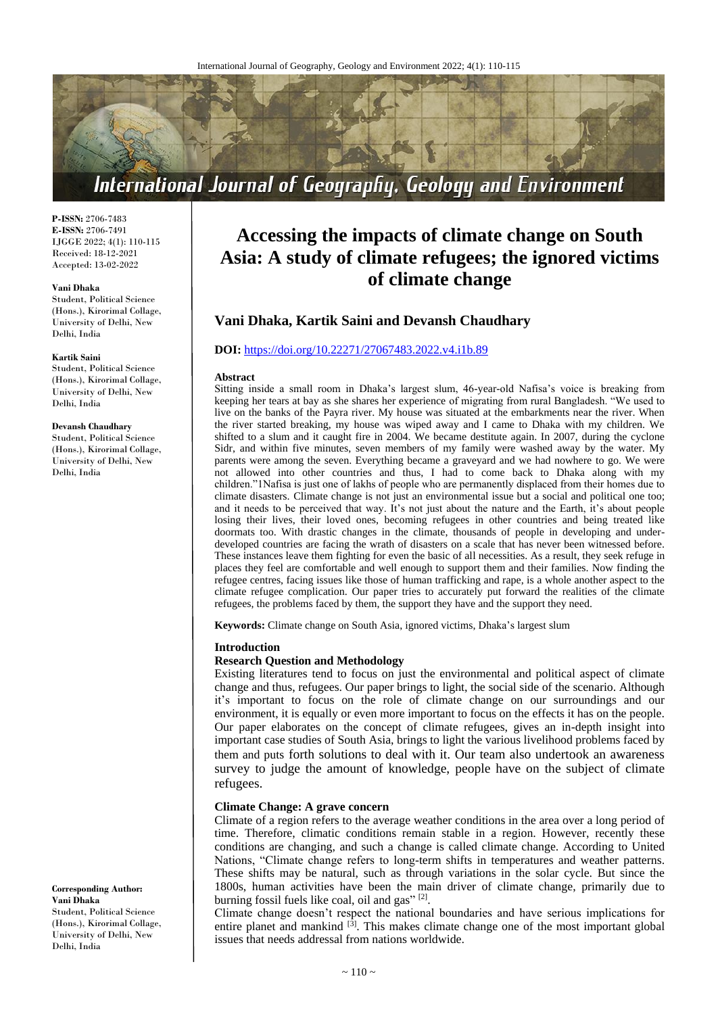

**P-ISSN:** 2706-7483 **E-ISSN:** 2706-7491 IJGGE 2022; 4(1): 110-115 Received: 18-12-2021 Accepted: 13-02-2022

#### **Vani Dhaka**

Student, Political Science (Hons.), Kirorimal Collage, University of Delhi, New Delhi, India

#### **Kartik Saini**

Student, Political Science (Hons.), Kirorimal Collage, University of Delhi, New Delhi, India

# **Devansh Chaudhary**

Student, Political Science (Hons.), Kirorimal Collage, University of Delhi, New Delhi, India

**Corresponding Author: Vani Dhaka** Student, Political Science (Hons.), Kirorimal Collage, University of Delhi, New Delhi, India

# **Accessing the impacts of climate change on South Asia: A study of climate refugees; the ignored victims of climate change**

# **Vani Dhaka, Kartik Saini and Devansh Chaudhary**

# **DOI:** <https://doi.org/10.22271/27067483.2022.v4.i1b.89>

#### **Abstract**

Sitting inside a small room in Dhaka's largest slum, 46-year-old Nafisa's voice is breaking from keeping her tears at bay as she shares her experience of migrating from rural Bangladesh. "We used to live on the banks of the Payra river. My house was situated at the embarkments near the river. When the river started breaking, my house was wiped away and I came to Dhaka with my children. We shifted to a slum and it caught fire in 2004. We became destitute again. In 2007, during the cyclone Sidr, and within five minutes, seven members of my family were washed away by the water. My parents were among the seven. Everything became a graveyard and we had nowhere to go. We were not allowed into other countries and thus, I had to come back to Dhaka along with my children."1Nafisa is just one of lakhs of people who are permanently displaced from their homes due to climate disasters. Climate change is not just an environmental issue but a social and political one too; and it needs to be perceived that way. It's not just about the nature and the Earth, it's about people losing their lives, their loved ones, becoming refugees in other countries and being treated like doormats too. With drastic changes in the climate, thousands of people in developing and underdeveloped countries are facing the wrath of disasters on a scale that has never been witnessed before. These instances leave them fighting for even the basic of all necessities. As a result, they seek refuge in places they feel are comfortable and well enough to support them and their families. Now finding the refugee centres, facing issues like those of human trafficking and rape, is a whole another aspect to the climate refugee complication. Our paper tries to accurately put forward the realities of the climate refugees, the problems faced by them, the support they have and the support they need.

**Keywords:** Climate change on South Asia, ignored victims, Dhaka's largest slum

#### **Introduction**

#### **Research Question and Methodology**

Existing literatures tend to focus on just the environmental and political aspect of climate change and thus, refugees. Our paper brings to light, the social side of the scenario. Although it's important to focus on the role of climate change on our surroundings and our environment, it is equally or even more important to focus on the effects it has on the people. Our paper elaborates on the concept of climate refugees, gives an in-depth insight into important case studies of South Asia, brings to light the various livelihood problems faced by them and puts forth solutions to deal with it. Our team also undertook an awareness survey to judge the amount of knowledge, people have on the subject of climate refugees.

#### **Climate Change: A grave concern**

Climate of a region refers to the average weather conditions in the area over a long period of time. Therefore, climatic conditions remain stable in a region. However, recently these conditions are changing, and such a change is called climate change. According to United Nations, "Climate change refers to long-term shifts in temperatures and weather patterns. These shifts may be natural, such as through variations in the solar cycle. But since the 1800s, human activities have been the main driver of climate change, primarily due to burning fossil fuels like coal, oil and gas"<sup>[2]</sup>.

Climate change doesn't respect the national boundaries and have serious implications for entire planet and mankind <sup>[3]</sup>. This makes climate change one of the most important global issues that needs addressal from nations worldwide.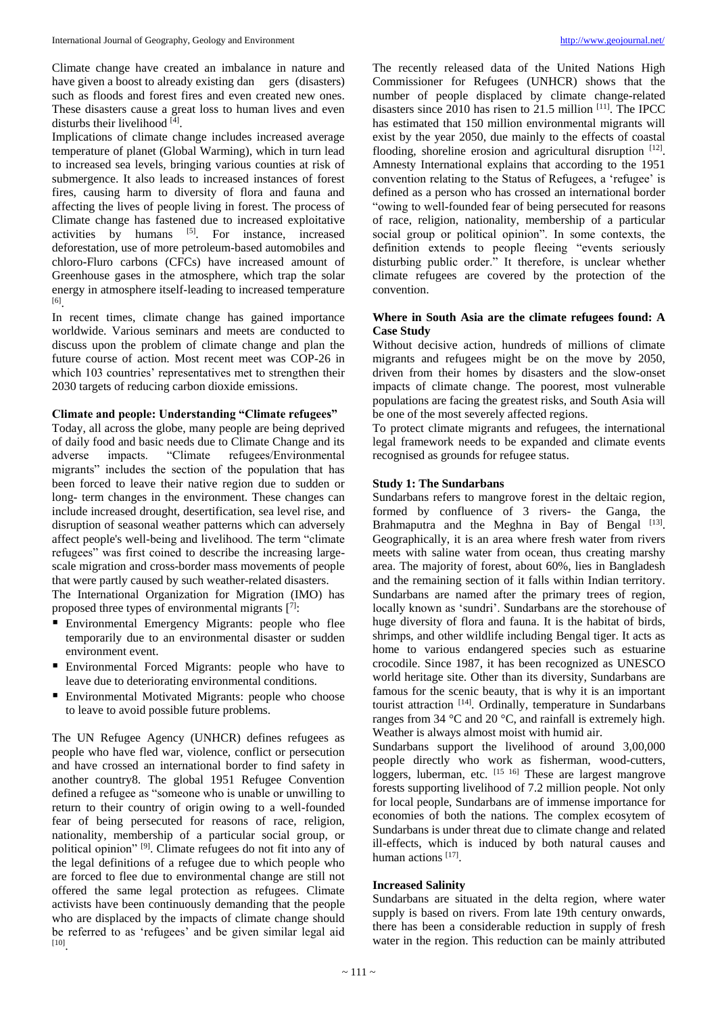Climate change have created an imbalance in nature and have given a boost to already existing dan gers (disasters) such as floods and forest fires and even created new ones. These disasters cause a great loss to human lives and even disturbs their livelihood [4].

Implications of climate change includes increased average temperature of planet (Global Warming), which in turn lead to increased sea levels, bringing various counties at risk of submergence. It also leads to increased instances of forest fires, causing harm to diversity of flora and fauna and affecting the lives of people living in forest. The process of Climate change has fastened due to increased exploitative activities by humans [5]. For instance, increased deforestation, use of more petroleum-based automobiles and chloro-Fluro carbons (CFCs) have increased amount of Greenhouse gases in the atmosphere, which trap the solar energy in atmosphere itself-leading to increased temperature [6] .

In recent times, climate change has gained importance worldwide. Various seminars and meets are conducted to discuss upon the problem of climate change and plan the future course of action. Most recent meet was COP-26 in which 103 countries' representatives met to strengthen their 2030 targets of reducing carbon dioxide emissions.

# **Climate and people: Understanding "Climate refugees"**

Today, all across the globe, many people are being deprived of daily food and basic needs due to Climate Change and its adverse impacts. "Climate refugees/Environmental migrants" includes the section of the population that has been forced to leave their native region due to sudden or long- term changes in the environment. These changes can include increased drought, desertification, sea level rise, and disruption of seasonal weather patterns which can adversely affect people's well-being and livelihood. The term "climate refugees" was first coined to describe the increasing largescale migration and cross-border mass movements of people that were partly caused by such weather-related disasters.

The International Organization for Migration (IMO) has proposed three types of environmental migrants  $[7]$ :

- Environmental Emergency Migrants: people who flee temporarily due to an environmental disaster or sudden environment event.
- Environmental Forced Migrants: people who have to leave due to deteriorating environmental conditions.
- Environmental Motivated Migrants: people who choose to leave to avoid possible future problems.

The UN Refugee Agency (UNHCR) defines refugees as people who have fled war, violence, conflict or persecution and have crossed an international border to find safety in another country8. The global 1951 Refugee Convention defined a refugee as "someone who is unable or unwilling to return to their country of origin owing to a well-founded fear of being persecuted for reasons of race, religion, nationality, membership of a particular social group, or political opinion" [9] . Climate refugees do not fit into any of the legal definitions of a refugee due to which people who are forced to flee due to environmental change are still not offered the same legal protection as refugees. Climate activists have been continuously demanding that the people who are displaced by the impacts of climate change should be referred to as 'refugees' and be given similar legal aid [10] .

The recently released data of the United Nations High Commissioner for Refugees (UNHCR) shows that the number of people displaced by climate change-related disasters since 2010 has risen to 21.5 million [11]. The IPCC has estimated that 150 million environmental migrants will exist by the year 2050, due mainly to the effects of coastal flooding, shoreline erosion and agricultural disruption [12]. Amnesty International explains that according to the 1951 convention relating to the Status of Refugees, a 'refugee' is defined as a person who has crossed an international border "owing to well-founded fear of being persecuted for reasons of race, religion, nationality, membership of a particular social group or political opinion". In some contexts, the definition extends to people fleeing "events seriously disturbing public order." It therefore, is unclear whether climate refugees are covered by the protection of the convention.

## **Where in South Asia are the climate refugees found: A Case Study**

Without decisive action, hundreds of millions of climate migrants and refugees might be on the move by 2050, driven from their homes by disasters and the slow-onset impacts of climate change. The poorest, most vulnerable populations are facing the greatest risks, and South Asia will be one of the most severely affected regions.

To protect climate migrants and refugees, the international legal framework needs to be expanded and climate events recognised as grounds for refugee status.

# **Study 1: The Sundarbans**

Sundarbans refers to mangrove forest in the deltaic region, formed by confluence of 3 rivers- the Ganga, the Brahmaputra and the Meghna in Bay of Bengal [13]. Geographically, it is an area where fresh water from rivers meets with saline water from ocean, thus creating marshy area. The majority of forest, about 60%, lies in Bangladesh and the remaining section of it falls within Indian territory. Sundarbans are named after the primary trees of region, locally known as 'sundri'. Sundarbans are the storehouse of huge diversity of flora and fauna. It is the habitat of birds, shrimps, and other wildlife including Bengal tiger. It acts as home to various endangered species such as estuarine crocodile. Since 1987, it has been recognized as UNESCO world heritage site. Other than its diversity, Sundarbans are famous for the scenic beauty, that is why it is an important tourist attraction [14]. Ordinally, temperature in Sundarbans ranges from 34 °C and 20 °C, and rainfall is extremely high. Weather is always almost moist with humid air.

Sundarbans support the livelihood of around 3,00,000 people directly who work as fisherman, wood-cutters, loggers, luberman, etc. [15 16] These are largest mangrove forests supporting livelihood of 7.2 million people. Not only for local people, Sundarbans are of immense importance for economies of both the nations. The complex ecosytem of Sundarbans is under threat due to climate change and related ill-effects, which is induced by both natural causes and human actions [17].

## **Increased Salinity**

Sundarbans are situated in the delta region, where water supply is based on rivers. From late 19th century onwards, there has been a considerable reduction in supply of fresh water in the region. This reduction can be mainly attributed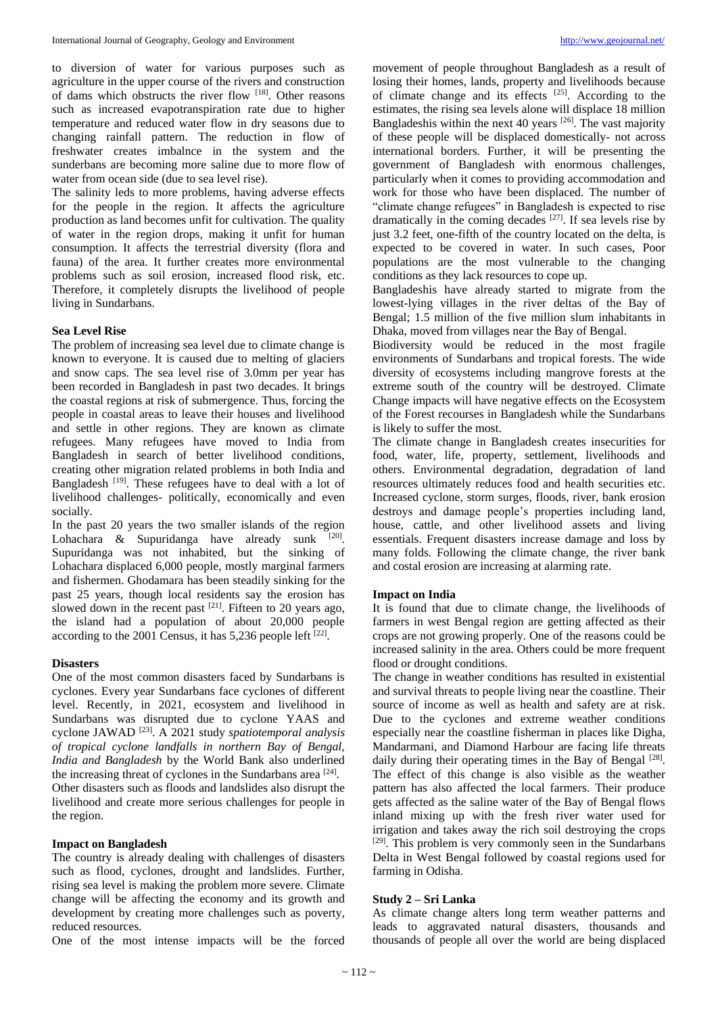to diversion of water for various purposes such as agriculture in the upper course of the rivers and construction of dams which obstructs the river flow [18]. Other reasons such as increased evapotranspiration rate due to higher temperature and reduced water flow in dry seasons due to changing rainfall pattern. The reduction in flow of freshwater creates imbalnce in the system and the sunderbans are becoming more saline due to more flow of water from ocean side (due to sea level rise).

The salinity leds to more problems, having adverse effects for the people in the region. It affects the agriculture production as land becomes unfit for cultivation. The quality of water in the region drops, making it unfit for human consumption. It affects the terrestrial diversity (flora and fauna) of the area. It further creates more environmental problems such as soil erosion, increased flood risk, etc. Therefore, it completely disrupts the livelihood of people living in Sundarbans.

## **Sea Level Rise**

The problem of increasing sea level due to climate change is known to everyone. It is caused due to melting of glaciers and snow caps. The sea level rise of 3.0mm per year has been recorded in Bangladesh in past two decades. It brings the coastal regions at risk of submergence. Thus, forcing the people in coastal areas to leave their houses and livelihood and settle in other regions. They are known as climate refugees. Many refugees have moved to India from Bangladesh in search of better livelihood conditions, creating other migration related problems in both India and Bangladesh<sup>[19]</sup>. These refugees have to deal with a lot of livelihood challenges- politically, economically and even socially.

In the past 20 years the two smaller islands of the region Lohachara & Supuridanga have already sunk  $[20]$ . Supuridanga was not inhabited, but the sinking of Lohachara displaced 6,000 people, mostly marginal farmers and fishermen. Ghodamara has been steadily sinking for the past 25 years, though local residents say the erosion has slowed down in the recent past  $[21]$ . Fifteen to 20 years ago, the island had a population of about 20,000 people according to the 2001 Census, it has  $5,236$  people left  $^{[22]}$ .

## **Disasters**

One of the most common disasters faced by Sundarbans is cyclones. Every year Sundarbans face cyclones of different level. Recently, in 2021, ecosystem and livelihood in Sundarbans was disrupted due to cyclone YAAS and cyclone JAWAD [23] . A 2021 study *spatiotemporal analysis of tropical cyclone landfalls in northern Bay of Bengal, India and Bangladesh* by the World Bank also underlined the increasing threat of cyclones in the Sundarbans area [24]. Other disasters such as floods and landslides also disrupt the livelihood and create more serious challenges for people in the region.

#### **Impact on Bangladesh**

The country is already dealing with challenges of disasters such as flood, cyclones, drought and landslides. Further, rising sea level is making the problem more severe. Climate change will be affecting the economy and its growth and development by creating more challenges such as poverty, reduced resources.

One of the most intense impacts will be the forced

movement of people throughout Bangladesh as a result of losing their homes, lands, property and livelihoods because of climate change and its effects [25]. According to the estimates, the rising sea levels alone will displace 18 million Bangladeshis within the next 40 years  $[26]$ . The vast majority of these people will be displaced domestically- not across international borders. Further, it will be presenting the government of Bangladesh with enormous challenges, particularly when it comes to providing accommodation and work for those who have been displaced. The number of "climate change refugees" in Bangladesh is expected to rise dramatically in the coming decades <sup>[27]</sup>. If sea levels rise by just 3.2 feet, one-fifth of the country located on the delta, is expected to be covered in water. In such cases, Poor populations are the most vulnerable to the changing conditions as they lack resources to cope up.

Bangladeshis have already started to migrate from the lowest-lying villages in the river deltas of the Bay of Bengal; 1.5 million of the five million slum inhabitants in Dhaka, moved from villages near the Bay of Bengal.

Biodiversity would be reduced in the most fragile environments of Sundarbans and tropical forests. The wide diversity of ecosystems including mangrove forests at the extreme south of the country will be destroyed. Climate Change impacts will have negative effects on the Ecosystem of the Forest recourses in Bangladesh while the Sundarbans is likely to suffer the most.

The climate change in Bangladesh creates insecurities for food, water, life, property, settlement, livelihoods and others. Environmental degradation, degradation of land resources ultimately reduces food and health securities etc. Increased cyclone, storm surges, floods, river, bank erosion destroys and damage people's properties including land, house, cattle, and other livelihood assets and living essentials. Frequent disasters increase damage and loss by many folds. Following the climate change, the river bank and costal erosion are increasing at alarming rate.

#### **Impact on India**

It is found that due to climate change, the livelihoods of farmers in west Bengal region are getting affected as their crops are not growing properly. One of the reasons could be increased salinity in the area. Others could be more frequent flood or drought conditions.

The change in weather conditions has resulted in existential and survival threats to people living near the coastline. Their source of income as well as health and safety are at risk. Due to the cyclones and extreme weather conditions especially near the coastline fisherman in places like Digha, Mandarmani, and Diamond Harbour are facing life threats daily during their operating times in the Bay of Bengal [28]. The effect of this change is also visible as the weather pattern has also affected the local farmers. Their produce gets affected as the saline water of the Bay of Bengal flows inland mixing up with the fresh river water used for irrigation and takes away the rich soil destroying the crops  $[29]$ . This problem is very commonly seen in the Sundarbans Delta in West Bengal followed by coastal regions used for farming in Odisha.

#### **Study 2 – Sri Lanka**

As climate change alters long term weather patterns and leads to aggravated natural disasters, thousands and thousands of people all over the world are being displaced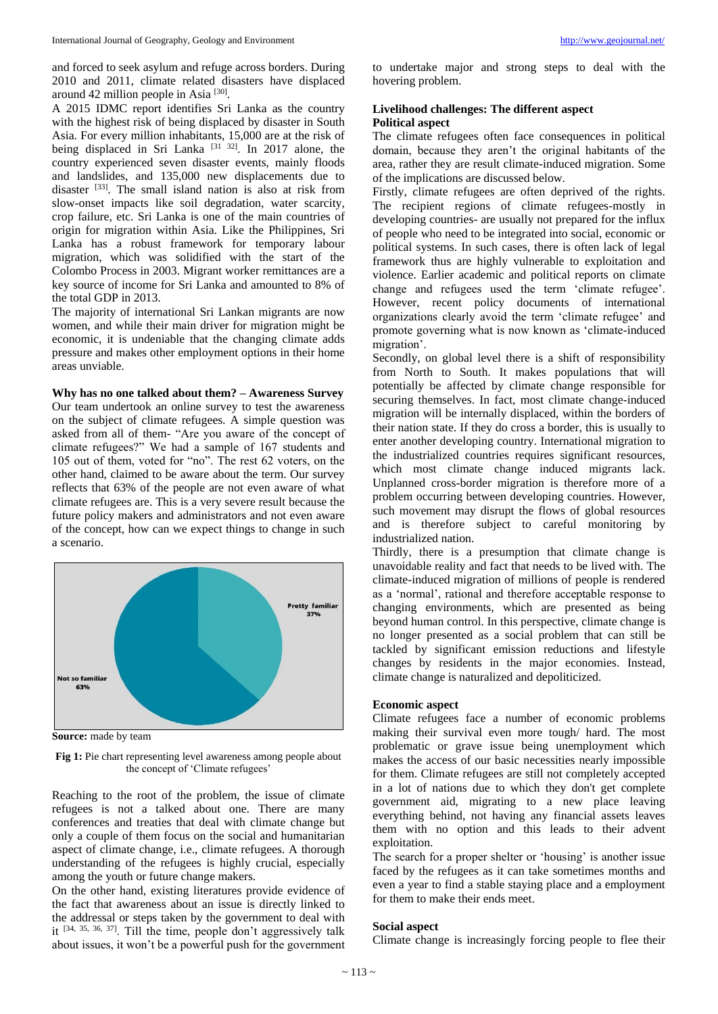and forced to seek asylum and refuge across borders. During 2010 and 2011, climate related disasters have displaced around 42 million people in Asia<sup>[30]</sup>.

A 2015 IDMC report identifies Sri Lanka as the country with the highest risk of being displaced by disaster in South Asia. For every million inhabitants, 15,000 are at the risk of being displaced in Sri Lanka<sup>[31 32]</sup>. In 2017 alone, the country experienced seven disaster events, mainly floods and landslides, and 135,000 new displacements due to disaster [33]. The small island nation is also at risk from slow-onset impacts like soil degradation, water scarcity, crop failure, etc. Sri Lanka is one of the main countries of origin for migration within Asia. Like the Philippines, Sri Lanka has a robust framework for temporary labour migration, which was solidified with the start of the Colombo Process in 2003. Migrant worker remittances are a key source of income for Sri Lanka and amounted to 8% of the total GDP in 2013.

The majority of international Sri Lankan migrants are now women, and while their main driver for migration might be economic, it is undeniable that the changing climate adds pressure and makes other employment options in their home areas unviable.

#### **Why has no one talked about them? – Awareness Survey**

Our team undertook an online survey to test the awareness on the subject of climate refugees. A simple question was asked from all of them- "Are you aware of the concept of climate refugees?" We had a sample of 167 students and 105 out of them, voted for "no". The rest 62 voters, on the other hand, claimed to be aware about the term. Our survey reflects that 63% of the people are not even aware of what climate refugees are. This is a very severe result because the future policy makers and administrators and not even aware of the concept, how can we expect things to change in such a scenario.



**Source:** made by team

**Fig 1:** Pie chart representing level awareness among people about the concept of 'Climate refugees'

Reaching to the root of the problem, the issue of climate refugees is not a talked about one. There are many conferences and treaties that deal with climate change but only a couple of them focus on the social and humanitarian aspect of climate change, i.e., climate refugees. A thorough understanding of the refugees is highly crucial, especially among the youth or future change makers.

On the other hand, existing literatures provide evidence of the fact that awareness about an issue is directly linked to the addressal or steps taken by the government to deal with it  $[34, 35, 36, 37]$ . Till the time, people don't aggressively talk about issues, it won't be a powerful push for the government to undertake major and strong steps to deal with the hovering problem.

# **Livelihood challenges: The different aspect Political aspect**

The climate refugees often face consequences in political domain, because they aren't the original habitants of the area, rather they are result climate-induced migration. Some of the implications are discussed below.

Firstly, climate refugees are often deprived of the rights. The recipient regions of climate refugees-mostly in developing countries- are usually not prepared for the influx of people who need to be integrated into social, economic or political systems. In such cases, there is often lack of legal framework thus are highly vulnerable to exploitation and violence. Earlier academic and political reports on climate change and refugees used the term 'climate refugee'. However, recent policy documents of international organizations clearly avoid the term 'climate refugee' and promote governing what is now known as 'climate-induced migration'.

Secondly, on global level there is a shift of responsibility from North to South. It makes populations that will potentially be affected by climate change responsible for securing themselves. In fact, most climate change-induced migration will be internally displaced, within the borders of their nation state. If they do cross a border, this is usually to enter another developing country. International migration to the industrialized countries requires significant resources, which most climate change induced migrants lack. Unplanned cross-border migration is therefore more of a problem occurring between developing countries. However, such movement may disrupt the flows of global resources and is therefore subject to careful monitoring by industrialized nation.

Thirdly, there is a presumption that climate change is unavoidable reality and fact that needs to be lived with. The climate-induced migration of millions of people is rendered as a 'normal', rational and therefore acceptable response to changing environments, which are presented as being beyond human control. In this perspective, climate change is no longer presented as a social problem that can still be tackled by significant emission reductions and lifestyle changes by residents in the major economies. Instead, climate change is naturalized and depoliticized.

## **Economic aspect**

Climate refugees face a number of economic problems making their survival even more tough/ hard. The most problematic or grave issue being unemployment which makes the access of our basic necessities nearly impossible for them. Climate refugees are still not completely accepted in a lot of nations due to which they don't get complete government aid, migrating to a new place leaving everything behind, not having any financial assets leaves them with no option and this leads to their advent exploitation.

The search for a proper shelter or 'housing' is another issue faced by the refugees as it can take sometimes months and even a year to find a stable staying place and a employment for them to make their ends meet.

## **Social aspect**

Climate change is increasingly forcing people to flee their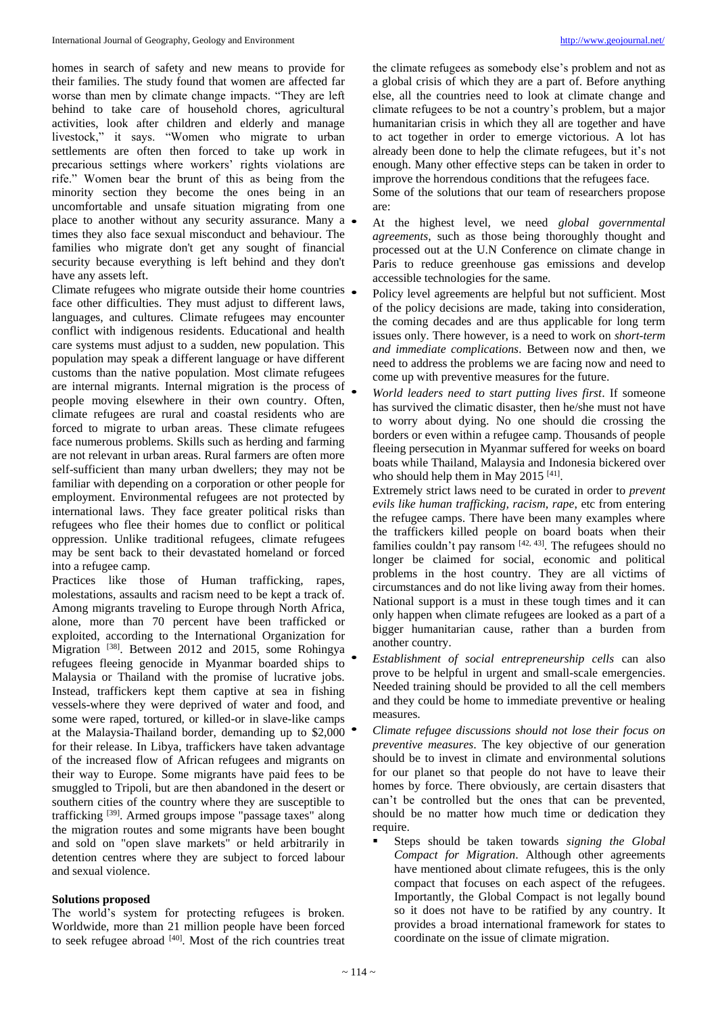homes in search of safety and new means to provide for their families. The study found that women are affected far worse than men by climate change impacts. "They are left behind to take care of household chores, agricultural activities, look after children and elderly and manage livestock," it says. "Women who migrate to urban settlements are often then forced to take up work in precarious settings where workers' rights violations are rife." Women bear the brunt of this as being from the minority section they become the ones being in an uncomfortable and unsafe situation migrating from one place to another without any security assurance. Many  $a \bullet$ times they also face sexual misconduct and behaviour. The families who migrate don't get any sought of financial security because everything is left behind and they don't have any assets left.

Climate refugees who migrate outside their home countries  $\bullet$ face other difficulties. They must adjust to different laws, languages, and cultures. Climate refugees may encounter conflict with indigenous residents. Educational and health care systems must adjust to a sudden, new population. This population may speak a different language or have different customs than the native population. Most climate refugees are internal migrants. Internal migration is the process of people moving elsewhere in their own country. Often, climate refugees are rural and coastal residents who are forced to migrate to urban areas. These climate refugees face numerous problems. Skills such as herding and farming are not relevant in urban areas. Rural farmers are often more self-sufficient than many urban dwellers; they may not be familiar with depending on a corporation or other people for employment. Environmental refugees are not protected by international laws. They face greater political risks than refugees who flee their homes due to conflict or political oppression. Unlike traditional refugees, climate refugees may be sent back to their devastated homeland or forced into a refugee camp.

Practices like those of Human trafficking, rapes, molestations, assaults and racism need to be kept a track of. Among migrants traveling to Europe through North Africa, alone, more than 70 percent have been trafficked or exploited, according to the International Organization for Migration <sup>[38]</sup>. Between 2012 and 2015, some Rohingya refugees fleeing genocide in Myanmar boarded ships to Malaysia or Thailand with the promise of lucrative jobs. Instead, traffickers kept them captive at sea in fishing vessels-where they were deprived of water and food, and some were raped, tortured, or killed-or in slave-like camps at the Malaysia-Thailand border, demanding up to \$2,000 for their release. In Libya, traffickers have taken advantage of the increased flow of African refugees and migrants on their way to Europe. Some migrants have paid fees to be smuggled to Tripoli, but are then abandoned in the desert or southern cities of the country where they are susceptible to trafficking [39] . Armed groups impose "passage taxes" along the migration routes and some migrants have been bought and sold on "open slave markets" or held arbitrarily in detention centres where they are subject to forced labour and sexual violence.

## **Solutions proposed**

The world's system for protecting refugees is broken. Worldwide, more than 21 million people have been forced to seek refugee abroad [40]. Most of the rich countries treat

the climate refugees as somebody else's problem and not as a global crisis of which they are a part of. Before anything else, all the countries need to look at climate change and climate refugees to be not a country's problem, but a major humanitarian crisis in which they all are together and have to act together in order to emerge victorious. A lot has already been done to help the climate refugees, but it's not enough. Many other effective steps can be taken in order to improve the horrendous conditions that the refugees face.

Some of the solutions that our team of researchers propose are:

- At the highest level, we need *global governmental agreements*, such as those being thoroughly thought and processed out at the U.N Conference on climate change in Paris to reduce greenhouse gas emissions and develop accessible technologies for the same.
- Policy level agreements are helpful but not sufficient. Most of the policy decisions are made, taking into consideration, the coming decades and are thus applicable for long term issues only. There however, is a need to work on *short-term and immediate complications*. Between now and then, we need to address the problems we are facing now and need to come up with preventive measures for the future.
- *World leaders need to start putting lives first*. If someone has survived the climatic disaster, then he/she must not have to worry about dying. No one should die crossing the borders or even within a refugee camp. Thousands of people fleeing persecution in Myanmar suffered for weeks on board boats while Thailand, Malaysia and Indonesia bickered over who should help them in May 2015<sup>[41]</sup>.

Extremely strict laws need to be curated in order to *prevent evils like human trafficking, racism, rape*, etc from entering the refugee camps. There have been many examples where the traffickers killed people on board boats when their families couldn't pay ransom  $[42, 43]$ . The refugees should no longer be claimed for social, economic and political problems in the host country. They are all victims of circumstances and do not like living away from their homes. National support is a must in these tough times and it can only happen when climate refugees are looked as a part of a bigger humanitarian cause, rather than a burden from another country.

- *Establishment of social entrepreneurship cells* can also prove to be helpful in urgent and small-scale emergencies. Needed training should be provided to all the cell members and they could be home to immediate preventive or healing measures.
- *Climate refugee discussions should not lose their focus on preventive measures*. The key objective of our generation should be to invest in climate and environmental solutions for our planet so that people do not have to leave their homes by force. There obviously, are certain disasters that can't be controlled but the ones that can be prevented, should be no matter how much time or dedication they require.
	- Steps should be taken towards *signing the Global Compact for Migration*. Although other agreements have mentioned about climate refugees, this is the only compact that focuses on each aspect of the refugees. Importantly, the Global Compact is not legally bound so it does not have to be ratified by any country. It provides a broad international framework for states to coordinate on the issue of climate migration.